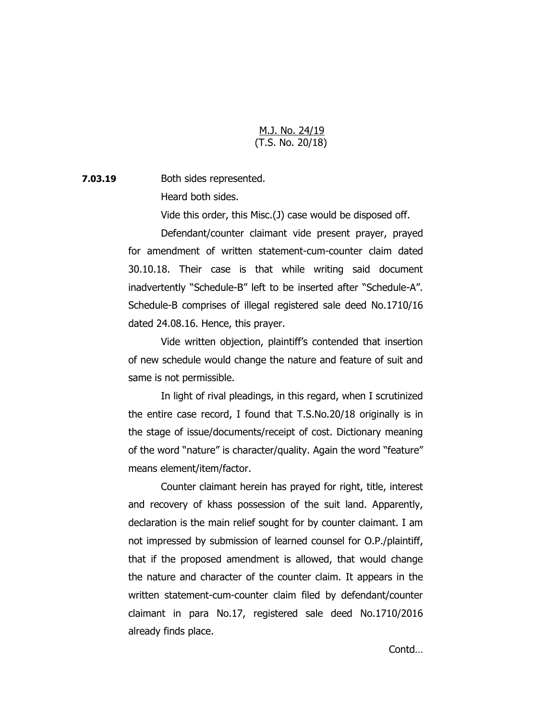## M.J. No. 24/19 (T.S. No. 20/18)

**7.03.19** Both sides represented.

Heard both sides.

Vide this order, this Misc.(J) case would be disposed off.

Defendant/counter claimant vide present prayer, prayed for amendment of written statement-cum-counter claim dated 30.10.18. Their case is that while writing said document inadvertently "Schedule-B" left to be inserted after "Schedule-A". Schedule-B comprises of illegal registered sale deed No.1710/16 dated 24.08.16. Hence, this prayer.

Vide written objection, plaintiff's contended that insertion of new schedule would change the nature and feature of suit and same is not permissible.

In light of rival pleadings, in this regard, when I scrutinized the entire case record, I found that T.S.No.20/18 originally is in the stage of issue/documents/receipt of cost. Dictionary meaning of the word "nature" is character/quality. Again the word "feature" means element/item/factor.

Counter claimant herein has prayed for right, title, interest and recovery of khass possession of the suit land. Apparently, declaration is the main relief sought for by counter claimant. I am not impressed by submission of learned counsel for O.P./plaintiff, that if the proposed amendment is allowed, that would change the nature and character of the counter claim. It appears in the written statement-cum-counter claim filed by defendant/counter claimant in para No.17, registered sale deed No.1710/2016 already finds place.

Contd…